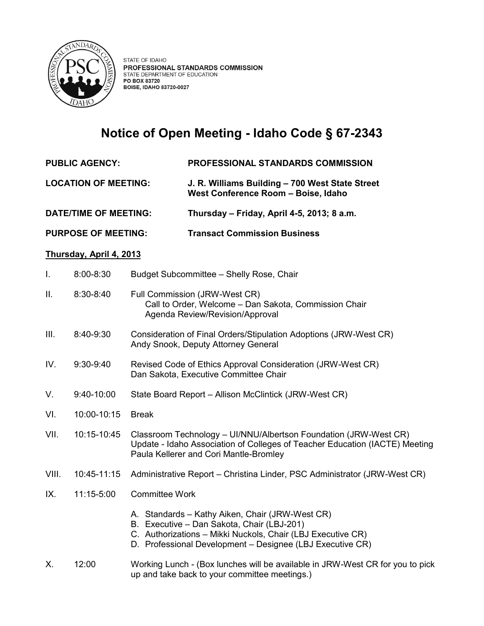

## **Notice of Open Meeting - Idaho Code § 67-2343**

- **PUBLIC AGENCY: PROFESSIONAL STANDARDS COMMISSION**
- **LOCATION OF MEETING: J. R. Williams Building – 700 West State Street West Conference Room – Boise, Idaho**

**DATE/TIME OF MEETING: Thursday – Friday, April 4-5, 2013; 8 a.m.** 

**PURPOSE OF MEETING: Transact Commission Business**

## **Thursday, April 4, 2013**

| Ι.    | 8:00-8:30   | Budget Subcommittee - Shelly Rose, Chair                                                                                                                                                                                  |
|-------|-------------|---------------------------------------------------------------------------------------------------------------------------------------------------------------------------------------------------------------------------|
| Ш.    | 8:30-8:40   | Full Commission (JRW-West CR)<br>Call to Order, Welcome - Dan Sakota, Commission Chair<br>Agenda Review/Revision/Approval                                                                                                 |
| III.  | 8:40-9:30   | Consideration of Final Orders/Stipulation Adoptions (JRW-West CR)<br>Andy Snook, Deputy Attorney General                                                                                                                  |
| IV.   | $9:30-9:40$ | Revised Code of Ethics Approval Consideration (JRW-West CR)<br>Dan Sakota, Executive Committee Chair                                                                                                                      |
| V.    | 9:40-10:00  | State Board Report - Allison McClintick (JRW-West CR)                                                                                                                                                                     |
| VI.   | 10:00-10:15 | <b>Break</b>                                                                                                                                                                                                              |
| VII.  | 10:15-10:45 | Classroom Technology - UI/NNU/Albertson Foundation (JRW-West CR)<br>Update - Idaho Association of Colleges of Teacher Education (IACTE) Meeting<br>Paula Kellerer and Cori Mantle-Bromley                                 |
| VIII. | 10:45-11:15 | Administrative Report - Christina Linder, PSC Administrator (JRW-West CR)                                                                                                                                                 |
| IX.   | 11:15-5:00  | <b>Committee Work</b>                                                                                                                                                                                                     |
|       |             | A. Standards - Kathy Aiken, Chair (JRW-West CR)<br>B. Executive - Dan Sakota, Chair (LBJ-201)<br>C. Authorizations - Mikki Nuckols, Chair (LBJ Executive CR)<br>D. Professional Development - Designee (LBJ Executive CR) |
| Х.    | 12:00       | Working Lunch - (Box lunches will be available in JRW-West CR for you to pick                                                                                                                                             |

up and take back to your committee meetings.)